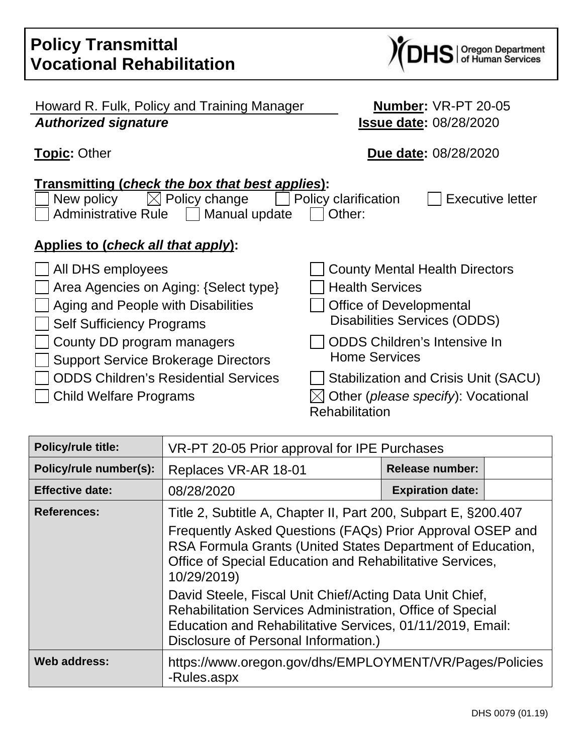| <b>Policy Transmittal</b><br><b>Vocational Rehabilitation</b>                                                                                                              | S   Oregon Department<br>S   of Human Services                                                                                                                           |
|----------------------------------------------------------------------------------------------------------------------------------------------------------------------------|--------------------------------------------------------------------------------------------------------------------------------------------------------------------------|
| Howard R. Fulk, Policy and Training Manager<br><b>Authorized signature</b>                                                                                                 | Number: VR-PT 20-05<br><b>Issue date: 08/28/2020</b>                                                                                                                     |
| <b>Topic: Other</b>                                                                                                                                                        | <b>Due date: 08/28/2020</b>                                                                                                                                              |
| Transmitting (check the box that best applies):<br>Policy change<br>New policy<br><b>Administrative Rule</b><br>Manual update<br><u>Applies to (check all that apply):</u> | Policy clarification<br><b>Executive letter</b><br>Other:                                                                                                                |
| All DHS employees<br>Area Agencies on Aging: {Select type}<br>Aging and People with Disabilities<br><b>Self Sufficiency Programs</b><br>County DD program managers         | <b>County Mental Health Directors</b><br><b>Health Services</b><br><b>Office of Developmental</b><br>Disabilities Services (ODDS)<br><b>ODDS Children's Intensive In</b> |
| <b>Support Service Brokerage Directors</b><br><b>ODDS Children's Residential Services</b><br><b>Child Welfare Programs</b>                                                 | <b>Home Services</b><br>Stabilization and Crisis Unit (SACU)<br>Other (please specify): Vocational<br><b>Rehabilitation</b>                                              |

| <b>Policy/rule title:</b> | VR-PT 20-05 Prior approval for IPE Purchases                                                                                                                                                                                                                                                                                                                                                                                                              |                         |  |
|---------------------------|-----------------------------------------------------------------------------------------------------------------------------------------------------------------------------------------------------------------------------------------------------------------------------------------------------------------------------------------------------------------------------------------------------------------------------------------------------------|-------------------------|--|
| Policy/rule number(s):    | Replaces VR-AR 18-01                                                                                                                                                                                                                                                                                                                                                                                                                                      | <b>Release number:</b>  |  |
| <b>Effective date:</b>    | 08/28/2020                                                                                                                                                                                                                                                                                                                                                                                                                                                | <b>Expiration date:</b> |  |
| <b>References:</b>        | Title 2, Subtitle A, Chapter II, Part 200, Subpart E, §200.407<br>Frequently Asked Questions (FAQs) Prior Approval OSEP and<br>RSA Formula Grants (United States Department of Education,<br>Office of Special Education and Rehabilitative Services,<br>10/29/2019)<br>David Steele, Fiscal Unit Chief/Acting Data Unit Chief,<br>Rehabilitation Services Administration, Office of Special<br>Education and Rehabilitative Services, 01/11/2019, Email: |                         |  |
|                           | Disclosure of Personal Information.)                                                                                                                                                                                                                                                                                                                                                                                                                      |                         |  |
| <b>Web address:</b>       | https://www.oregon.gov/dhs/EMPLOYMENT/VR/Pages/Policies<br>-Rules.aspx                                                                                                                                                                                                                                                                                                                                                                                    |                         |  |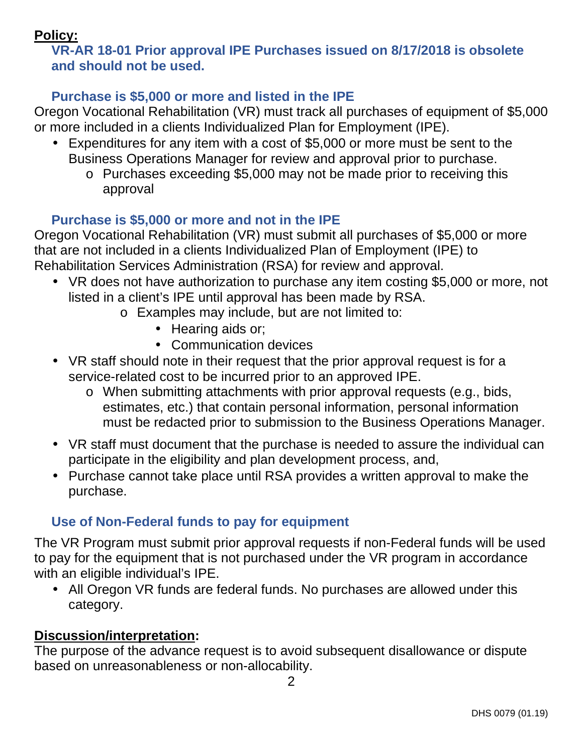## **Policy:**

## **VR-AR 18-01 Prior approval IPE Purchases issued on 8/17/2018 is obsolete and should not be used.**

### **Purchase is \$5,000 or more and listed in the IPE**

Oregon Vocational Rehabilitation (VR) must track all purchases of equipment of \$5,000 or more included in a clients Individualized Plan for Employment (IPE).

- Expenditures for any item with a cost of \$5,000 or more must be sent to the Business Operations Manager for review and approval prior to purchase.
	- o Purchases exceeding \$5,000 may not be made prior to receiving this approval

### **Purchase is \$5,000 or more and not in the IPE**

Oregon Vocational Rehabilitation (VR) must submit all purchases of \$5,000 or more that are not included in a clients Individualized Plan of Employment (IPE) to Rehabilitation Services Administration (RSA) for review and approval.

- VR does not have authorization to purchase any item costing \$5,000 or more, not listed in a client's IPE until approval has been made by RSA.
	- o Examples may include, but are not limited to:
		- Hearing aids or;
		- Communication devices
- VR staff should note in their request that the prior approval request is for a service-related cost to be incurred prior to an approved IPE.
	- o When submitting attachments with prior approval requests (e.g., bids, estimates, etc.) that contain personal information, personal information must be redacted prior to submission to the Business Operations Manager.
- VR staff must document that the purchase is needed to assure the individual can participate in the eligibility and plan development process, and,
- Purchase cannot take place until RSA provides a written approval to make the purchase.

# **Use of Non-Federal funds to pay for equipment**

The VR Program must submit prior approval requests if non-Federal funds will be used to pay for the equipment that is not purchased under the VR program in accordance with an eligible individual's IPE.

• All Oregon VR funds are federal funds. No purchases are allowed under this category.

## **Discussion/interpretation:**

The purpose of the advance request is to avoid subsequent disallowance or dispute based on unreasonableness or non-allocability.